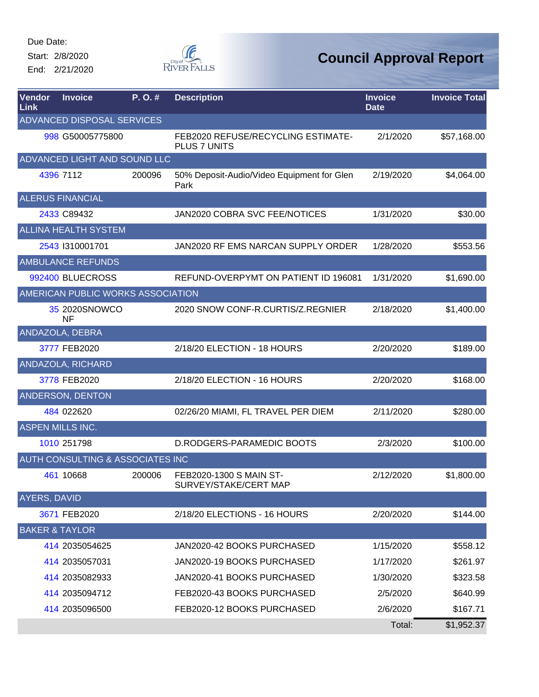Start: 2/8/2020

End: 2/21/2020



| <b>Vendor</b><br><b>Link</b> | <b>Invoice</b>                    | P.O.#  | <b>Description</b>                                 | <b>Invoice</b><br><b>Date</b> | <b>Invoice Total</b> |
|------------------------------|-----------------------------------|--------|----------------------------------------------------|-------------------------------|----------------------|
|                              | ADVANCED DISPOSAL SERVICES        |        |                                                    |                               |                      |
|                              | 998 G50005775800                  |        | FEB2020 REFUSE/RECYCLING ESTIMATE-<br>PLUS 7 UNITS | 2/1/2020                      | \$57,168.00          |
|                              | ADVANCED LIGHT AND SOUND LLC      |        |                                                    |                               |                      |
|                              | 4396 7112                         | 200096 | 50% Deposit-Audio/Video Equipment for Glen<br>Park | 2/19/2020                     | \$4,064.00           |
|                              | <b>ALERUS FINANCIAL</b>           |        |                                                    |                               |                      |
|                              | 2433 C89432                       |        | JAN2020 COBRA SVC FEE/NOTICES                      | 1/31/2020                     | \$30.00              |
|                              | <b>ALLINA HEALTH SYSTEM</b>       |        |                                                    |                               |                      |
|                              | 2543 1310001701                   |        | JAN2020 RF EMS NARCAN SUPPLY ORDER                 | 1/28/2020                     | \$553.56             |
|                              | <b>AMBULANCE REFUNDS</b>          |        |                                                    |                               |                      |
|                              | 992400 BLUECROSS                  |        | REFUND-OVERPYMT ON PATIENT ID 196081               | 1/31/2020                     | \$1,690.00           |
|                              | AMERICAN PUBLIC WORKS ASSOCIATION |        |                                                    |                               |                      |
|                              | 35 2020SNOWCO<br><b>NF</b>        |        | 2020 SNOW CONF-R.CURTIS/Z.REGNIER                  | 2/18/2020                     | \$1,400.00           |
|                              | ANDAZOLA, DEBRA                   |        |                                                    |                               |                      |
|                              | 3777 FEB2020                      |        | 2/18/20 ELECTION - 18 HOURS                        | 2/20/2020                     | \$189.00             |
|                              | ANDAZOLA, RICHARD                 |        |                                                    |                               |                      |
|                              | 3778 FEB2020                      |        | 2/18/20 ELECTION - 16 HOURS                        | 2/20/2020                     | \$168.00             |
|                              | ANDERSON, DENTON                  |        |                                                    |                               |                      |
|                              | 484 022620                        |        | 02/26/20 MIAMI, FL TRAVEL PER DIEM                 | 2/11/2020                     | \$280.00             |
|                              | <b>ASPEN MILLS INC.</b>           |        |                                                    |                               |                      |
|                              | 1010 251798                       |        | D.RODGERS-PARAMEDIC BOOTS                          | 2/3/2020                      | \$100.00             |
|                              | AUTH CONSULTING & ASSOCIATES INC  |        |                                                    |                               |                      |
|                              | 461 10668                         | 200006 | FEB2020-1300 S MAIN ST-<br>SURVEY/STAKE/CERT MAP   | 2/12/2020                     | \$1,800.00           |
| AYERS, DAVID                 |                                   |        |                                                    |                               |                      |
|                              | 3671 FEB2020                      |        | 2/18/20 ELECTIONS - 16 HOURS                       | 2/20/2020                     | \$144.00             |
|                              | <b>BAKER &amp; TAYLOR</b>         |        |                                                    |                               |                      |
|                              | 414 2035054625                    |        | JAN2020-42 BOOKS PURCHASED                         | 1/15/2020                     | \$558.12             |
|                              | 414 2035057031                    |        | JAN2020-19 BOOKS PURCHASED                         | 1/17/2020                     | \$261.97             |
|                              | 414 2035082933                    |        | JAN2020-41 BOOKS PURCHASED                         | 1/30/2020                     | \$323.58             |
|                              | 414 2035094712                    |        | FEB2020-43 BOOKS PURCHASED                         | 2/5/2020                      | \$640.99             |
|                              | 414 2035096500                    |        | FEB2020-12 BOOKS PURCHASED                         | 2/6/2020                      | \$167.71             |
|                              |                                   |        |                                                    | Total:                        | \$1,952.37           |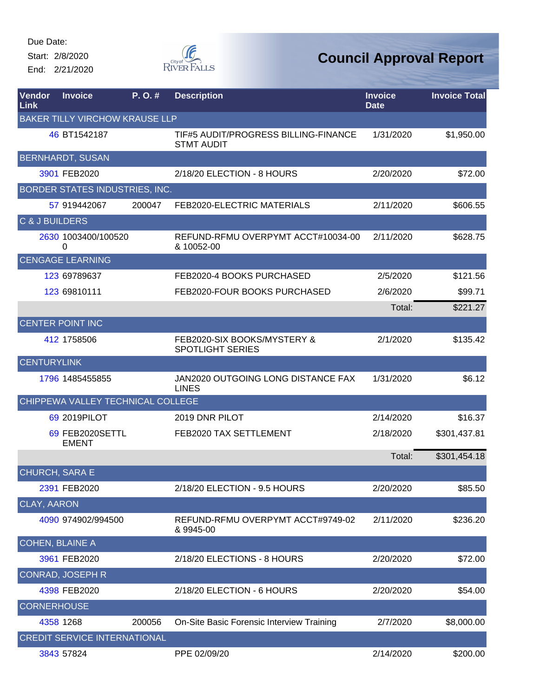Start: 2/8/2020 End: 2/21/2020



| Vendor<br>Link            | <b>Invoice</b>                        | P.O.#  | <b>Description</b>                                        | <b>Invoice</b><br><b>Date</b> | <b>Invoice Total</b> |
|---------------------------|---------------------------------------|--------|-----------------------------------------------------------|-------------------------------|----------------------|
|                           | <b>BAKER TILLY VIRCHOW KRAUSE LLP</b> |        |                                                           |                               |                      |
|                           | 46 BT1542187                          |        | TIF#5 AUDIT/PROGRESS BILLING-FINANCE<br><b>STMT AUDIT</b> | 1/31/2020                     | \$1,950.00           |
|                           | <b>BERNHARDT, SUSAN</b>               |        |                                                           |                               |                      |
|                           | 3901 FEB2020                          |        | 2/18/20 ELECTION - 8 HOURS                                | 2/20/2020                     | \$72.00              |
|                           | BORDER STATES INDUSTRIES, INC.        |        |                                                           |                               |                      |
|                           | 57 919442067                          | 200047 | FEB2020-ELECTRIC MATERIALS                                | 2/11/2020                     | \$606.55             |
| <b>C &amp; J BUILDERS</b> |                                       |        |                                                           |                               |                      |
|                           | 2630 1003400/100520<br>0              |        | REFUND-RFMU OVERPYMT ACCT#10034-00<br>& 10052-00          | 2/11/2020                     | \$628.75             |
|                           | <b>CENGAGE LEARNING</b>               |        |                                                           |                               |                      |
|                           | 123 69789637                          |        | FEB2020-4 BOOKS PURCHASED                                 | 2/5/2020                      | \$121.56             |
|                           | 123 69810111                          |        | FEB2020-FOUR BOOKS PURCHASED                              | 2/6/2020                      | \$99.71              |
|                           |                                       |        |                                                           | Total:                        | \$221.27             |
|                           | <b>CENTER POINT INC</b>               |        |                                                           |                               |                      |
|                           | 412 1758506                           |        | FEB2020-SIX BOOKS/MYSTERY &<br><b>SPOTLIGHT SERIES</b>    | 2/1/2020                      | \$135.42             |
| <b>CENTURYLINK</b>        |                                       |        |                                                           |                               |                      |
|                           | 1796 1485455855                       |        | JAN2020 OUTGOING LONG DISTANCE FAX<br><b>LINES</b>        | 1/31/2020                     | \$6.12               |
|                           | CHIPPEWA VALLEY TECHNICAL COLLEGE     |        |                                                           |                               |                      |
|                           | 69 2019 PILOT                         |        | 2019 DNR PILOT                                            | 2/14/2020                     | \$16.37              |
|                           | 69 FEB2020SETTL<br><b>EMENT</b>       |        | FEB2020 TAX SETTLEMENT                                    | 2/18/2020                     | \$301,437.81         |
|                           |                                       |        |                                                           | Total:                        | \$301,454.18         |
| CHURCH, SARA E            |                                       |        |                                                           |                               |                      |
|                           | 2391 FEB2020                          |        | 2/18/20 ELECTION - 9.5 HOURS                              | 2/20/2020                     | \$85.50              |
| <b>CLAY, AARON</b>        |                                       |        |                                                           |                               |                      |
|                           | 4090 974902/994500                    |        | REFUND-RFMU OVERPYMT ACCT#9749-02<br>& 9945-00            | 2/11/2020                     | \$236.20             |
|                           | <b>COHEN, BLAINE A</b>                |        |                                                           |                               |                      |
|                           | 3961 FEB2020                          |        | 2/18/20 ELECTIONS - 8 HOURS                               | 2/20/2020                     | \$72.00              |
|                           | <b>CONRAD, JOSEPH R</b>               |        |                                                           |                               |                      |
|                           | 4398 FEB2020                          |        | 2/18/20 ELECTION - 6 HOURS                                | 2/20/2020                     | \$54.00              |
| <b>CORNERHOUSE</b>        |                                       |        |                                                           |                               |                      |
|                           | 4358 1268                             | 200056 | On-Site Basic Forensic Interview Training                 | 2/7/2020                      | \$8,000.00           |
|                           | <b>CREDIT SERVICE INTERNATIONAL</b>   |        |                                                           |                               |                      |
|                           | 3843 57824                            |        | PPE 02/09/20                                              | 2/14/2020                     | \$200.00             |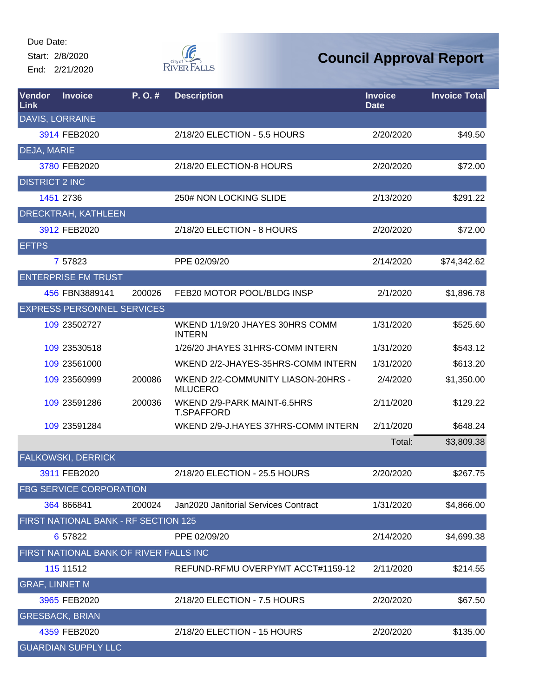Start: 2/8/2020 End: 2/21/2020



| Vendor<br><b>Link</b> | <b>Invoice</b>                         | P.O.#  | <b>Description</b>                                   | <b>Invoice</b><br><b>Date</b> | <b>Invoice Total</b> |
|-----------------------|----------------------------------------|--------|------------------------------------------------------|-------------------------------|----------------------|
|                       | <b>DAVIS, LORRAINE</b>                 |        |                                                      |                               |                      |
|                       | 3914 FEB2020                           |        | 2/18/20 ELECTION - 5.5 HOURS                         | 2/20/2020                     | \$49.50              |
| <b>DEJA, MARIE</b>    |                                        |        |                                                      |                               |                      |
|                       | 3780 FEB2020                           |        | 2/18/20 ELECTION-8 HOURS                             | 2/20/2020                     | \$72.00              |
| <b>DISTRICT 2 INC</b> |                                        |        |                                                      |                               |                      |
|                       | 1451 2736                              |        | 250# NON LOCKING SLIDE                               | 2/13/2020                     | \$291.22             |
|                       | <b>DRECKTRAH, KATHLEEN</b>             |        |                                                      |                               |                      |
|                       | 3912 FEB2020                           |        | 2/18/20 ELECTION - 8 HOURS                           | 2/20/2020                     | \$72.00              |
| <b>EFTPS</b>          |                                        |        |                                                      |                               |                      |
|                       | 7 57823                                |        | PPE 02/09/20                                         | 2/14/2020                     | \$74,342.62          |
|                       | <b>ENTERPRISE FM TRUST</b>             |        |                                                      |                               |                      |
|                       | 456 FBN3889141                         | 200026 | FEB20 MOTOR POOL/BLDG INSP                           | 2/1/2020                      | \$1,896.78           |
|                       | <b>EXPRESS PERSONNEL SERVICES</b>      |        |                                                      |                               |                      |
|                       | 109 23502727                           |        | WKEND 1/19/20 JHAYES 30HRS COMM<br><b>INTERN</b>     | 1/31/2020                     | \$525.60             |
|                       | 109 23530518                           |        | 1/26/20 JHAYES 31HRS-COMM INTERN                     | 1/31/2020                     | \$543.12             |
|                       | 109 23561000                           |        | WKEND 2/2-JHAYES-35HRS-COMM INTERN                   | 1/31/2020                     | \$613.20             |
|                       | 109 23560999                           | 200086 | WKEND 2/2-COMMUNITY LIASON-20HRS -<br><b>MLUCERO</b> | 2/4/2020                      | \$1,350.00           |
|                       | 109 23591286                           | 200036 | WKEND 2/9-PARK MAINT-6.5HRS<br><b>T.SPAFFORD</b>     | 2/11/2020                     | \$129.22             |
|                       | 109 23591284                           |        | WKEND 2/9-J.HAYES 37HRS-COMM INTERN                  | 2/11/2020                     | \$648.24             |
|                       |                                        |        |                                                      | Total:                        | \$3,809.38           |
|                       | <b>FALKOWSKI, DERRICK</b>              |        |                                                      |                               |                      |
|                       | 3911 FEB2020                           |        | 2/18/20 ELECTION - 25.5 HOURS                        | 2/20/2020                     | \$267.75             |
|                       | <b>FBG SERVICE CORPORATION</b>         |        |                                                      |                               |                      |
|                       | 364 866841                             | 200024 | Jan2020 Janitorial Services Contract                 | 1/31/2020                     | \$4,866.00           |
|                       | FIRST NATIONAL BANK - RF SECTION 125   |        |                                                      |                               |                      |
|                       | 6 57822                                |        | PPE 02/09/20                                         | 2/14/2020                     | \$4,699.38           |
|                       | FIRST NATIONAL BANK OF RIVER FALLS INC |        |                                                      |                               |                      |
|                       | 115 11512                              |        | REFUND-RFMU OVERPYMT ACCT#1159-12                    | 2/11/2020                     | \$214.55             |
| <b>GRAF, LINNET M</b> |                                        |        |                                                      |                               |                      |
|                       | 3965 FEB2020                           |        | 2/18/20 ELECTION - 7.5 HOURS                         | 2/20/2020                     | \$67.50              |
|                       | <b>GRESBACK, BRIAN</b>                 |        |                                                      |                               |                      |
|                       | 4359 FEB2020                           |        | 2/18/20 ELECTION - 15 HOURS                          | 2/20/2020                     | \$135.00             |
|                       | <b>GUARDIAN SUPPLY LLC</b>             |        |                                                      |                               |                      |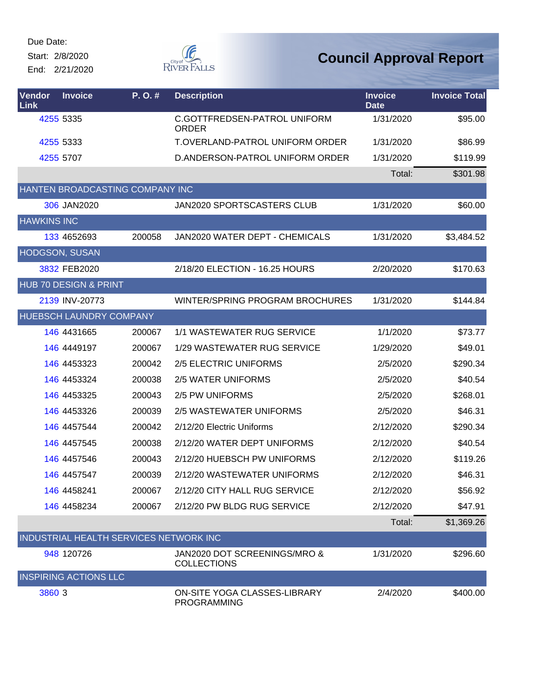Start: 2/8/2020 End: 2/21/2020



| <b>Vendor</b><br>Link | <b>Invoice</b>                         | P.O.#  | <b>Description</b>                                 | <b>Invoice</b><br><b>Date</b> | <b>Invoice Total</b> |
|-----------------------|----------------------------------------|--------|----------------------------------------------------|-------------------------------|----------------------|
|                       | 4255 5335                              |        | C.GOTTFREDSEN-PATROL UNIFORM<br><b>ORDER</b>       | 1/31/2020                     | \$95.00              |
|                       | 4255 5333                              |        | <b>T.OVERLAND-PATROL UNIFORM ORDER</b>             | 1/31/2020                     | \$86.99              |
|                       | 4255 5707                              |        | D.ANDERSON-PATROL UNIFORM ORDER                    | 1/31/2020                     | \$119.99             |
|                       |                                        |        |                                                    | Total:                        | \$301.98             |
|                       | HANTEN BROADCASTING COMPANY INC        |        |                                                    |                               |                      |
|                       | 306 JAN2020                            |        | JAN2020 SPORTSCASTERS CLUB                         | 1/31/2020                     | \$60.00              |
| <b>HAWKINS INC</b>    |                                        |        |                                                    |                               |                      |
|                       | 133 4652693                            | 200058 | JAN2020 WATER DEPT - CHEMICALS                     | 1/31/2020                     | \$3,484.52           |
|                       | HODGSON, SUSAN                         |        |                                                    |                               |                      |
|                       | 3832 FEB2020                           |        | 2/18/20 ELECTION - 16.25 HOURS                     | 2/20/2020                     | \$170.63             |
|                       | <b>HUB 70 DESIGN &amp; PRINT</b>       |        |                                                    |                               |                      |
|                       | 2139 INV-20773                         |        | WINTER/SPRING PROGRAM BROCHURES                    | 1/31/2020                     | \$144.84             |
|                       | HUEBSCH LAUNDRY COMPANY                |        |                                                    |                               |                      |
|                       | 146 4431665                            | 200067 | 1/1 WASTEWATER RUG SERVICE                         | 1/1/2020                      | \$73.77              |
|                       | 146 4449197                            | 200067 | 1/29 WASTEWATER RUG SERVICE                        | 1/29/2020                     | \$49.01              |
|                       | 146 4453323                            | 200042 | 2/5 ELECTRIC UNIFORMS                              | 2/5/2020                      | \$290.34             |
|                       | 146 4453324                            | 200038 | 2/5 WATER UNIFORMS                                 | 2/5/2020                      | \$40.54              |
|                       | 146 4453325                            | 200043 | 2/5 PW UNIFORMS                                    | 2/5/2020                      | \$268.01             |
|                       | 146 4453326                            | 200039 | 2/5 WASTEWATER UNIFORMS                            | 2/5/2020                      | \$46.31              |
|                       | 146 4457544                            | 200042 | 2/12/20 Electric Uniforms                          | 2/12/2020                     | \$290.34             |
|                       | 146 4457545                            | 200038 | 2/12/20 WATER DEPT UNIFORMS                        | 2/12/2020                     | \$40.54              |
|                       | 146 4457546                            | 200043 | 2/12/20 HUEBSCH PW UNIFORMS                        | 2/12/2020                     | \$119.26             |
|                       | 146 4457547                            | 200039 | 2/12/20 WASTEWATER UNIFORMS                        | 2/12/2020                     | \$46.31              |
|                       | 146 4458241                            | 200067 | 2/12/20 CITY HALL RUG SERVICE                      | 2/12/2020                     | \$56.92              |
|                       | 146 4458234                            | 200067 | 2/12/20 PW BLDG RUG SERVICE                        | 2/12/2020                     | \$47.91              |
|                       |                                        |        |                                                    | Total:                        | \$1,369.26           |
|                       | INDUSTRIAL HEALTH SERVICES NETWORK INC |        |                                                    |                               |                      |
|                       | 948 120726                             |        | JAN2020 DOT SCREENINGS/MRO &<br><b>COLLECTIONS</b> | 1/31/2020                     | \$296.60             |
|                       | <b>INSPIRING ACTIONS LLC</b>           |        |                                                    |                               |                      |
| 3860 3                |                                        |        | ON-SITE YOGA CLASSES-LIBRARY<br><b>PROGRAMMING</b> | 2/4/2020                      | \$400.00             |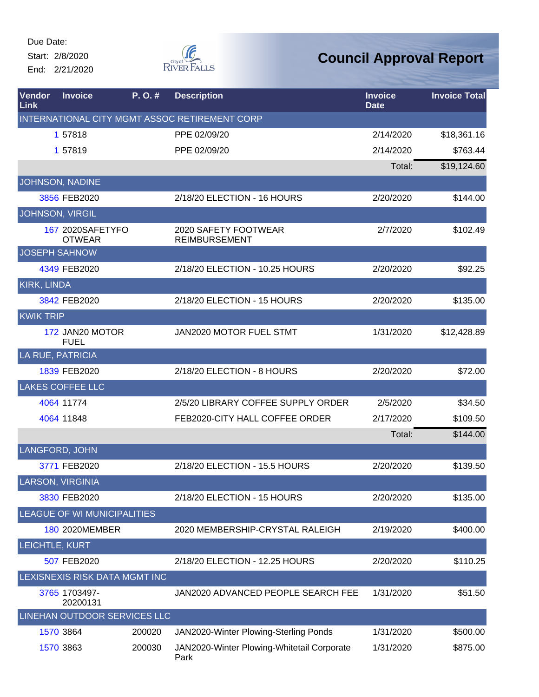Start: 2/8/2020 End: 2/21/2020



| Vendor<br>Link        | <b>Invoice</b>                    | P.O.#  | <b>Description</b>                                 | <b>Invoice</b><br><b>Date</b> | <b>Invoice Total</b> |
|-----------------------|-----------------------------------|--------|----------------------------------------------------|-------------------------------|----------------------|
|                       |                                   |        | INTERNATIONAL CITY MGMT ASSOC RETIREMENT CORP      |                               |                      |
|                       | 1 57818                           |        | PPE 02/09/20                                       | 2/14/2020                     | \$18,361.16          |
|                       | 1 57819                           |        | PPE 02/09/20                                       | 2/14/2020                     | \$763.44             |
|                       |                                   |        |                                                    | Total:                        | \$19,124.60          |
|                       | JOHNSON, NADINE                   |        |                                                    |                               |                      |
|                       | 3856 FEB2020                      |        | 2/18/20 ELECTION - 16 HOURS                        | 2/20/2020                     | \$144.00             |
| JOHNSON, VIRGIL       |                                   |        |                                                    |                               |                      |
|                       | 167 2020SAFETYFO<br><b>OTWEAR</b> |        | 2020 SAFETY FOOTWEAR<br><b>REIMBURSEMENT</b>       | 2/7/2020                      | \$102.49             |
| <b>JOSEPH SAHNOW</b>  |                                   |        |                                                    |                               |                      |
|                       | 4349 FEB2020                      |        | 2/18/20 ELECTION - 10.25 HOURS                     | 2/20/2020                     | \$92.25              |
| <b>KIRK, LINDA</b>    |                                   |        |                                                    |                               |                      |
|                       | 3842 FEB2020                      |        | 2/18/20 ELECTION - 15 HOURS                        | 2/20/2020                     | \$135.00             |
| <b>KWIK TRIP</b>      |                                   |        |                                                    |                               |                      |
|                       | 172 JAN20 MOTOR<br><b>FUEL</b>    |        | JAN2020 MOTOR FUEL STMT                            | 1/31/2020                     | \$12,428.89          |
| LA RUE, PATRICIA      |                                   |        |                                                    |                               |                      |
|                       | 1839 FEB2020                      |        | 2/18/20 ELECTION - 8 HOURS                         | 2/20/2020                     | \$72.00              |
|                       | <b>LAKES COFFEE LLC</b>           |        |                                                    |                               |                      |
|                       | 4064 11774                        |        | 2/5/20 LIBRARY COFFEE SUPPLY ORDER                 | 2/5/2020                      | \$34.50              |
|                       | 4064 11848                        |        | FEB2020-CITY HALL COFFEE ORDER                     | 2/17/2020                     | \$109.50             |
|                       |                                   |        |                                                    | Total:                        | \$144.00             |
| <b>LANGFORD, JOHN</b> |                                   |        |                                                    |                               |                      |
|                       | 3771 FEB2020                      |        | 2/18/20 ELECTION - 15.5 HOURS                      | 2/20/2020                     | \$139.50             |
|                       | LARSON, VIRGINIA                  |        |                                                    |                               |                      |
|                       | 3830 FEB2020                      |        | 2/18/20 ELECTION - 15 HOURS                        | 2/20/2020                     | \$135.00             |
|                       | LEAGUE OF WI MUNICIPALITIES       |        |                                                    |                               |                      |
|                       | 180 2020MEMBER                    |        | 2020 MEMBERSHIP-CRYSTAL RALEIGH                    | 2/19/2020                     | \$400.00             |
| LEICHTLE, KURT        |                                   |        |                                                    |                               |                      |
|                       | 507 FEB2020                       |        | 2/18/20 ELECTION - 12.25 HOURS                     | 2/20/2020                     | \$110.25             |
|                       | LEXISNEXIS RISK DATA MGMT INC     |        |                                                    |                               |                      |
|                       | 3765 1703497-<br>20200131         |        | JAN2020 ADVANCED PEOPLE SEARCH FEE                 | 1/31/2020                     | \$51.50              |
|                       | LINEHAN OUTDOOR SERVICES LLC      |        |                                                    |                               |                      |
|                       | 1570 3864                         | 200020 | JAN2020-Winter Plowing-Sterling Ponds              | 1/31/2020                     | \$500.00             |
|                       | 1570 3863                         | 200030 | JAN2020-Winter Plowing-Whitetail Corporate<br>Park | 1/31/2020                     | \$875.00             |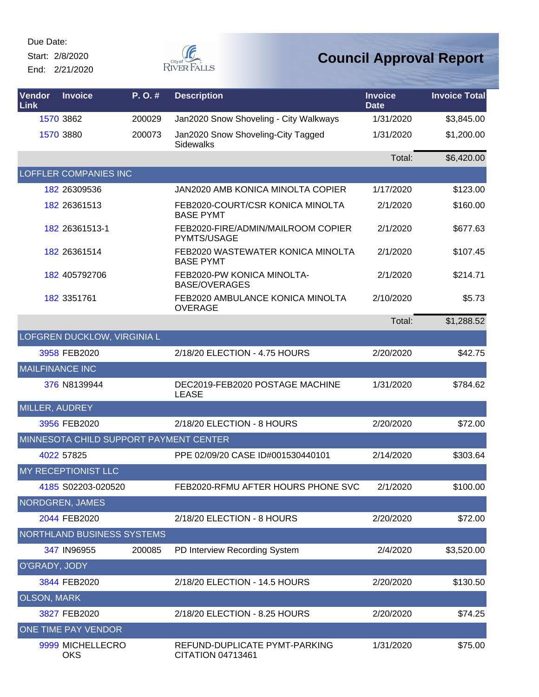Start: 2/8/2020

End: 2/21/2020



| Vendor<br><b>Link</b>  | <b>Invoice</b>                         | P.O.#  | <b>Description</b>                                     | <b>Invoice</b><br><b>Date</b> | <b>Invoice Total</b> |
|------------------------|----------------------------------------|--------|--------------------------------------------------------|-------------------------------|----------------------|
|                        | 1570 3862                              | 200029 | Jan2020 Snow Shoveling - City Walkways                 | 1/31/2020                     | \$3,845.00           |
|                        | 1570 3880                              | 200073 | Jan2020 Snow Shoveling-City Tagged<br><b>Sidewalks</b> | 1/31/2020                     | \$1,200.00           |
|                        |                                        |        |                                                        | Total:                        | \$6,420.00           |
|                        | <b>LOFFLER COMPANIES INC</b>           |        |                                                        |                               |                      |
|                        | 182 26309536                           |        | JAN2020 AMB KONICA MINOLTA COPIER                      | 1/17/2020                     | \$123.00             |
|                        | 182 26361513                           |        | FEB2020-COURT/CSR KONICA MINOLTA<br><b>BASE PYMT</b>   | 2/1/2020                      | \$160.00             |
|                        | 182 26361513-1                         |        | FEB2020-FIRE/ADMIN/MAILROOM COPIER<br>PYMTS/USAGE      | 2/1/2020                      | \$677.63             |
|                        | 182 26361514                           |        | FEB2020 WASTEWATER KONICA MINOLTA<br><b>BASE PYMT</b>  | 2/1/2020                      | \$107.45             |
|                        | 182 405792706                          |        | FEB2020-PW KONICA MINOLTA-<br><b>BASE/OVERAGES</b>     | 2/1/2020                      | \$214.71             |
|                        | 182 3351761                            |        | FEB2020 AMBULANCE KONICA MINOLTA<br><b>OVERAGE</b>     | 2/10/2020                     | \$5.73               |
|                        |                                        |        |                                                        | Total:                        | \$1,288.52           |
|                        | <b>LOFGREN DUCKLOW, VIRGINIA L</b>     |        |                                                        |                               |                      |
|                        | 3958 FEB2020                           |        | 2/18/20 ELECTION - 4.75 HOURS                          | 2/20/2020                     | \$42.75              |
| <b>MAILFINANCE INC</b> |                                        |        |                                                        |                               |                      |
|                        | 376 N8139944                           |        | DEC2019-FEB2020 POSTAGE MACHINE<br><b>LEASE</b>        | 1/31/2020                     | \$784.62             |
| MILLER, AUDREY         |                                        |        |                                                        |                               |                      |
|                        | 3956 FEB2020                           |        | 2/18/20 ELECTION - 8 HOURS                             | 2/20/2020                     | \$72.00              |
|                        | MINNESOTA CHILD SUPPORT PAYMENT CENTER |        |                                                        |                               |                      |
|                        | 4022 57825                             |        | PPE 02/09/20 CASE ID#001530440101                      | 2/14/2020                     | \$303.64             |
|                        | <b>MY RECEPTIONIST LLC</b>             |        |                                                        |                               |                      |
|                        | 4185 S02203-020520                     |        | FEB2020-RFMU AFTER HOURS PHONE SVC                     | 2/1/2020                      | \$100.00             |
|                        | NORDGREN, JAMES                        |        |                                                        |                               |                      |
|                        | 2044 FEB2020                           |        | 2/18/20 ELECTION - 8 HOURS                             | 2/20/2020                     | \$72.00              |
|                        | NORTHLAND BUSINESS SYSTEMS             |        |                                                        |                               |                      |
|                        | 347 IN96955                            | 200085 | PD Interview Recording System                          | 2/4/2020                      | \$3,520.00           |
| O'GRADY, JODY          |                                        |        |                                                        |                               |                      |
|                        | 3844 FEB2020                           |        | 2/18/20 ELECTION - 14.5 HOURS                          | 2/20/2020                     | \$130.50             |
| <b>OLSON, MARK</b>     |                                        |        |                                                        |                               |                      |
|                        | 3827 FEB2020                           |        | 2/18/20 ELECTION - 8.25 HOURS                          | 2/20/2020                     | \$74.25              |
|                        | ONE TIME PAY VENDOR                    |        |                                                        |                               |                      |
|                        | 9999 MICHELLECRO<br><b>OKS</b>         |        | REFUND-DUPLICATE PYMT-PARKING<br>CITATION 04713461     | 1/31/2020                     | \$75.00              |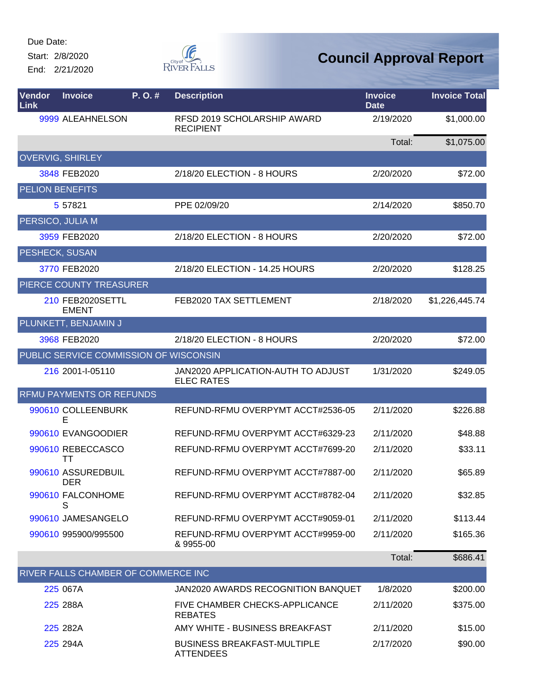Start: 2/8/2020 End: 2/21/2020



| Vendor<br>Link | <b>Invoice</b>                         | P.O.# | <b>Description</b>                                      | <b>Invoice</b><br><b>Date</b> | <b>Invoice Total</b> |
|----------------|----------------------------------------|-------|---------------------------------------------------------|-------------------------------|----------------------|
|                | 9999 ALEAHNELSON                       |       | RFSD 2019 SCHOLARSHIP AWARD<br><b>RECIPIENT</b>         | 2/19/2020                     | \$1,000.00           |
|                |                                        |       |                                                         | Total:                        | \$1,075.00           |
|                | <b>OVERVIG, SHIRLEY</b>                |       |                                                         |                               |                      |
|                | 3848 FEB2020                           |       | 2/18/20 ELECTION - 8 HOURS                              | 2/20/2020                     | \$72.00              |
|                | <b>PELION BENEFITS</b>                 |       |                                                         |                               |                      |
|                | 5 57821                                |       | PPE 02/09/20                                            | 2/14/2020                     | \$850.70             |
|                | PERSICO, JULIA M                       |       |                                                         |                               |                      |
|                | 3959 FEB2020                           |       | 2/18/20 ELECTION - 8 HOURS                              | 2/20/2020                     | \$72.00              |
|                | <b>PESHECK, SUSAN</b>                  |       |                                                         |                               |                      |
|                | 3770 FEB2020                           |       | 2/18/20 ELECTION - 14.25 HOURS                          | 2/20/2020                     | \$128.25             |
|                | PIERCE COUNTY TREASURER                |       |                                                         |                               |                      |
|                | 210 FEB2020SETTL<br><b>EMENT</b>       |       | FEB2020 TAX SETTLEMENT                                  | 2/18/2020                     | \$1,226,445.74       |
|                | PLUNKETT, BENJAMIN J                   |       |                                                         |                               |                      |
|                | 3968 FEB2020                           |       | 2/18/20 ELECTION - 8 HOURS                              | 2/20/2020                     | \$72.00              |
|                | PUBLIC SERVICE COMMISSION OF WISCONSIN |       |                                                         |                               |                      |
|                | 216 2001-I-05110                       |       | JAN2020 APPLICATION-AUTH TO ADJUST<br><b>ELEC RATES</b> | 1/31/2020                     | \$249.05             |
|                | <b>RFMU PAYMENTS OR REFUNDS</b>        |       |                                                         |                               |                      |
|                | 990610 COLLEENBURK<br>E                |       | REFUND-RFMU OVERPYMT ACCT#2536-05                       | 2/11/2020                     | \$226.88             |
|                | 990610 EVANGOODIER                     |       | REFUND-RFMU OVERPYMT ACCT#6329-23                       | 2/11/2020                     | \$48.88              |
|                | 990610 REBECCASCO<br>TТ                |       | REFUND-RFMU OVERPYMT ACCT#7699-20                       | 2/11/2020                     | \$33.11              |
|                | 990610 ASSUREDBUIL<br><b>DER</b>       |       | REFUND-RFMU OVERPYMT ACCT#7887-00                       | 2/11/2020                     | \$65.89              |
|                | 990610 FALCONHOME<br>S                 |       | REFUND-RFMU OVERPYMT ACCT#8782-04                       | 2/11/2020                     | \$32.85              |
|                | 990610 JAMESANGELO                     |       | REFUND-RFMU OVERPYMT ACCT#9059-01                       | 2/11/2020                     | \$113.44             |
|                | 990610 995900/995500                   |       | REFUND-RFMU OVERPYMT ACCT#9959-00<br>& 9955-00          | 2/11/2020                     | \$165.36             |
|                |                                        |       |                                                         | Total:                        | \$686.41             |
|                | RIVER FALLS CHAMBER OF COMMERCE INC    |       |                                                         |                               |                      |
|                | 225 067A                               |       | JAN2020 AWARDS RECOGNITION BANQUET                      | 1/8/2020                      | \$200.00             |
|                | 225 288A                               |       | FIVE CHAMBER CHECKS-APPLICANCE<br><b>REBATES</b>        | 2/11/2020                     | \$375.00             |
|                | 225 282A                               |       | AMY WHITE - BUSINESS BREAKFAST                          | 2/11/2020                     | \$15.00              |
|                | 225 294A                               |       | <b>BUSINESS BREAKFAST-MULTIPLE</b><br><b>ATTENDEES</b>  | 2/17/2020                     | \$90.00              |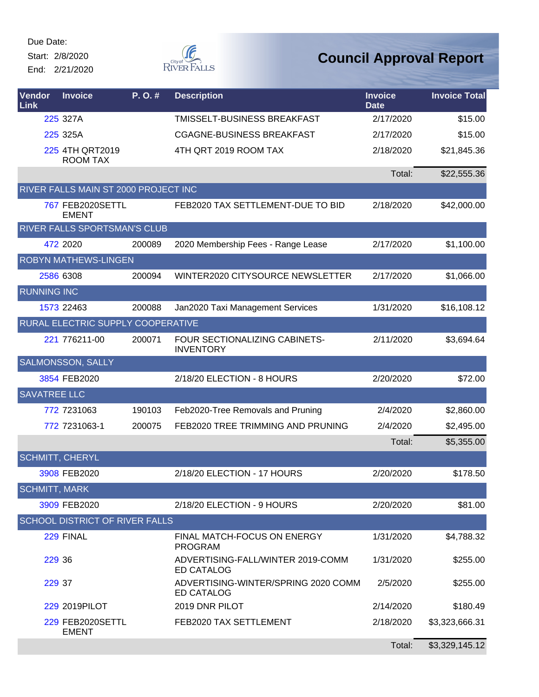Start: 2/8/2020

End: 2/21/2020



| <b>Vendor</b><br>Link | <b>Invoice</b>                        | P. O. # | <b>Description</b>                                       | <b>Invoice</b><br><b>Date</b> | <b>Invoice Total</b> |
|-----------------------|---------------------------------------|---------|----------------------------------------------------------|-------------------------------|----------------------|
|                       | 225 327A                              |         | TMISSELT-BUSINESS BREAKFAST                              | 2/17/2020                     | \$15.00              |
|                       | 225 325A                              |         | CGAGNE-BUSINESS BREAKFAST                                | 2/17/2020                     | \$15.00              |
|                       | 225 4TH QRT2019<br><b>ROOM TAX</b>    |         | 4TH QRT 2019 ROOM TAX                                    | 2/18/2020                     | \$21,845.36          |
|                       |                                       |         |                                                          | Total:                        | \$22,555.36          |
|                       | RIVER FALLS MAIN ST 2000 PROJECT INC  |         |                                                          |                               |                      |
|                       | 767 FEB2020SETTL<br><b>EMENT</b>      |         | FEB2020 TAX SETTLEMENT-DUE TO BID                        | 2/18/2020                     | \$42,000.00          |
|                       | RIVER FALLS SPORTSMAN'S CLUB          |         |                                                          |                               |                      |
|                       | 472 2020                              | 200089  | 2020 Membership Fees - Range Lease                       | 2/17/2020                     | \$1,100.00           |
|                       | ROBYN MATHEWS-LINGEN                  |         |                                                          |                               |                      |
|                       | 2586 6308                             | 200094  | WINTER2020 CITYSOURCE NEWSLETTER                         | 2/17/2020                     | \$1,066.00           |
| <b>RUNNING INC</b>    |                                       |         |                                                          |                               |                      |
|                       | 1573 22463                            | 200088  | Jan2020 Taxi Management Services                         | 1/31/2020                     | \$16,108.12          |
|                       | RURAL ELECTRIC SUPPLY COOPERATIVE     |         |                                                          |                               |                      |
|                       | 221 776211-00                         | 200071  | FOUR SECTIONALIZING CABINETS-<br><b>INVENTORY</b>        | 2/11/2020                     | \$3,694.64           |
|                       | <b>SALMONSSON, SALLY</b>              |         |                                                          |                               |                      |
|                       | 3854 FEB2020                          |         | 2/18/20 ELECTION - 8 HOURS                               | 2/20/2020                     | \$72.00              |
| <b>SAVATREE LLC</b>   |                                       |         |                                                          |                               |                      |
|                       | 772 7231063                           | 190103  | Feb2020-Tree Removals and Pruning                        | 2/4/2020                      | \$2,860.00           |
|                       | 772 7231063-1                         | 200075  | FEB2020 TREE TRIMMING AND PRUNING                        | 2/4/2020                      | \$2,495.00           |
|                       |                                       |         |                                                          | Total:                        | \$5,355.00           |
|                       | <b>SCHMITT, CHERYL</b>                |         |                                                          |                               |                      |
|                       | 3908 FEB2020                          |         | 2/18/20 ELECTION - 17 HOURS                              | 2/20/2020                     | \$178.50             |
| <b>SCHMITT, MARK</b>  |                                       |         |                                                          |                               |                      |
|                       | 3909 FEB2020                          |         | 2/18/20 ELECTION - 9 HOURS                               | 2/20/2020                     | \$81.00              |
|                       | <b>SCHOOL DISTRICT OF RIVER FALLS</b> |         |                                                          |                               |                      |
|                       | 229 FINAL                             |         | FINAL MATCH-FOCUS ON ENERGY<br><b>PROGRAM</b>            | 1/31/2020                     | \$4,788.32           |
| 229 36                |                                       |         | ADVERTISING-FALL/WINTER 2019-COMM<br><b>ED CATALOG</b>   | 1/31/2020                     | \$255.00             |
| 229 37                |                                       |         | ADVERTISING-WINTER/SPRING 2020 COMM<br><b>ED CATALOG</b> | 2/5/2020                      | \$255.00             |
|                       | 229 2019 PILOT                        |         | 2019 DNR PILOT                                           | 2/14/2020                     | \$180.49             |
|                       | 229 FEB2020SETTL<br><b>EMENT</b>      |         | FEB2020 TAX SETTLEMENT                                   | 2/18/2020                     | \$3,323,666.31       |
|                       |                                       |         |                                                          | Total:                        | \$3,329,145.12       |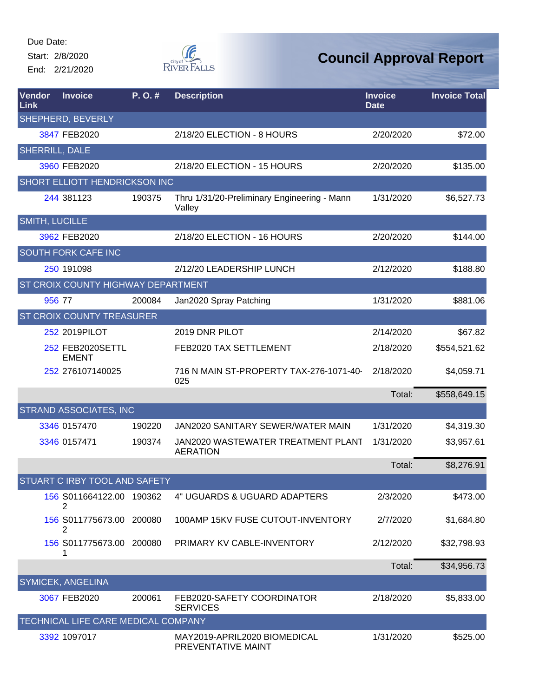Start: 2/8/2020

End: 2/21/2020



| <b>Vendor</b><br>Link | <b>Invoice</b>                       | $P. O.$ # | <b>Description</b>                                    | <b>Invoice</b><br><b>Date</b> | <b>Invoice Total</b> |
|-----------------------|--------------------------------------|-----------|-------------------------------------------------------|-------------------------------|----------------------|
|                       | SHEPHERD, BEVERLY                    |           |                                                       |                               |                      |
|                       | 3847 FEB2020                         |           | 2/18/20 ELECTION - 8 HOURS                            | 2/20/2020                     | \$72.00              |
| <b>SHERRILL, DALE</b> |                                      |           |                                                       |                               |                      |
|                       | 3960 FEB2020                         |           | 2/18/20 ELECTION - 15 HOURS                           | 2/20/2020                     | \$135.00             |
|                       | <b>SHORT ELLIOTT HENDRICKSON INC</b> |           |                                                       |                               |                      |
|                       | 244 381123                           | 190375    | Thru 1/31/20-Preliminary Engineering - Mann<br>Valley | 1/31/2020                     | \$6,527.73           |
| SMITH, LUCILLE        |                                      |           |                                                       |                               |                      |
|                       | 3962 FEB2020                         |           | 2/18/20 ELECTION - 16 HOURS                           | 2/20/2020                     | \$144.00             |
|                       | <b>SOUTH FORK CAFE INC</b>           |           |                                                       |                               |                      |
|                       | 250 191098                           |           | 2/12/20 LEADERSHIP LUNCH                              | 2/12/2020                     | \$188.80             |
|                       | ST CROIX COUNTY HIGHWAY DEPARTMENT   |           |                                                       |                               |                      |
|                       | 956 77                               | 200084    | Jan2020 Spray Patching                                | 1/31/2020                     | \$881.06             |
|                       | <b>ST CROIX COUNTY TREASURER</b>     |           |                                                       |                               |                      |
|                       | 252 2019PILOT                        |           | 2019 DNR PILOT                                        | 2/14/2020                     | \$67.82              |
|                       | 252 FEB2020SETTL<br><b>EMENT</b>     |           | FEB2020 TAX SETTLEMENT                                | 2/18/2020                     | \$554,521.62         |
|                       | 252 276107140025                     |           | 716 N MAIN ST-PROPERTY TAX-276-1071-40-<br>025        | 2/18/2020                     | \$4,059.71           |
|                       |                                      |           |                                                       | Total:                        | \$558,649.15         |
|                       | <b>STRAND ASSOCIATES, INC</b>        |           |                                                       |                               |                      |
|                       | 3346 0157470                         | 190220    | JAN2020 SANITARY SEWER/WATER MAIN                     | 1/31/2020                     | \$4,319.30           |
|                       | 3346 0157471                         | 190374    | JAN2020 WASTEWATER TREATMENT PLANT<br><b>AERATION</b> | 1/31/2020                     | \$3,957.61           |
|                       |                                      |           |                                                       | Total:                        | \$8,276.91           |
|                       | STUART C IRBY TOOL AND SAFETY        |           |                                                       |                               |                      |
|                       | 156 S011664122.00 190362<br>2        |           | 4" UGUARDS & UGUARD ADAPTERS                          | 2/3/2020                      | \$473.00             |
|                       | 156 S011775673.00 200080<br>2        |           | 100AMP 15KV FUSE CUTOUT-INVENTORY                     | 2/7/2020                      | \$1,684.80           |
|                       | 156 S011775673.00 200080<br>1        |           | PRIMARY KV CABLE-INVENTORY                            | 2/12/2020                     | \$32,798.93          |
|                       |                                      |           |                                                       | Total:                        | \$34,956.73          |
|                       | SYMICEK, ANGELINA                    |           |                                                       |                               |                      |
|                       | 3067 FEB2020                         | 200061    | FEB2020-SAFETY COORDINATOR<br><b>SERVICES</b>         | 2/18/2020                     | \$5,833.00           |
|                       | TECHNICAL LIFE CARE MEDICAL COMPANY  |           |                                                       |                               |                      |
|                       | 3392 1097017                         |           | MAY2019-APRIL2020 BIOMEDICAL<br>PREVENTATIVE MAINT    | 1/31/2020                     | \$525.00             |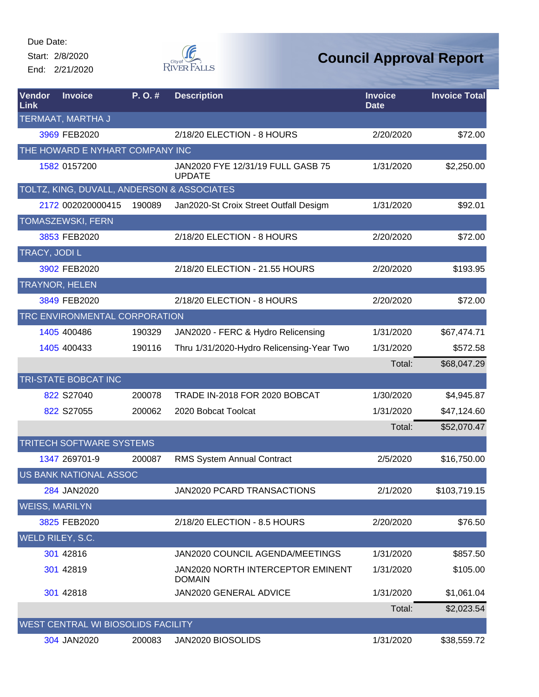Start: 2/8/2020

End: 2/21/2020



| Vendor<br>Link        | <b>Invoice</b>                             | P.O.#  | <b>Description</b>                                 | <b>Invoice</b><br><b>Date</b> | <b>Invoice Total</b> |
|-----------------------|--------------------------------------------|--------|----------------------------------------------------|-------------------------------|----------------------|
|                       | TERMAAT, MARTHA J                          |        |                                                    |                               |                      |
|                       | 3969 FEB2020                               |        | 2/18/20 ELECTION - 8 HOURS                         | 2/20/2020                     | \$72.00              |
|                       | THE HOWARD E NYHART COMPANY INC            |        |                                                    |                               |                      |
|                       | 1582 0157200                               |        | JAN2020 FYE 12/31/19 FULL GASB 75<br><b>UPDATE</b> | 1/31/2020                     | \$2,250.00           |
|                       | TOLTZ, KING, DUVALL, ANDERSON & ASSOCIATES |        |                                                    |                               |                      |
|                       | 2172 002020000415                          | 190089 | Jan2020-St Croix Street Outfall Desigm             | 1/31/2020                     | \$92.01              |
|                       | <b>TOMASZEWSKI, FERN</b>                   |        |                                                    |                               |                      |
|                       | 3853 FEB2020                               |        | 2/18/20 ELECTION - 8 HOURS                         | 2/20/2020                     | \$72.00              |
| <b>TRACY, JODIL</b>   |                                            |        |                                                    |                               |                      |
|                       | 3902 FEB2020                               |        | 2/18/20 ELECTION - 21.55 HOURS                     | 2/20/2020                     | \$193.95             |
|                       | <b>TRAYNOR, HELEN</b>                      |        |                                                    |                               |                      |
|                       | 3849 FEB2020                               |        | 2/18/20 ELECTION - 8 HOURS                         | 2/20/2020                     | \$72.00              |
|                       | TRC ENVIRONMENTAL CORPORATION              |        |                                                    |                               |                      |
|                       | 1405 400486                                | 190329 | JAN2020 - FERC & Hydro Relicensing                 | 1/31/2020                     | \$67,474.71          |
|                       | 1405 400433                                | 190116 | Thru 1/31/2020-Hydro Relicensing-Year Two          | 1/31/2020                     | \$572.58             |
|                       |                                            |        |                                                    | Total:                        | \$68,047.29          |
|                       | TRI-STATE BOBCAT INC                       |        |                                                    |                               |                      |
|                       | 822 S27040                                 | 200078 | TRADE IN-2018 FOR 2020 BOBCAT                      | 1/30/2020                     | \$4,945.87           |
|                       | 822 S27055                                 | 200062 | 2020 Bobcat Toolcat                                | 1/31/2020                     | \$47,124.60          |
|                       |                                            |        |                                                    | Total:                        | \$52,070.47          |
|                       | TRITECH SOFTWARE SYSTEMS                   |        |                                                    |                               |                      |
|                       | 1347 269701-9                              | 200087 | RMS System Annual Contract                         | 2/5/2020                      | \$16,750.00          |
|                       | US BANK NATIONAL ASSOC                     |        |                                                    |                               |                      |
|                       | 284 JAN2020                                |        | JAN2020 PCARD TRANSACTIONS                         | 2/1/2020                      | \$103,719.15         |
| <b>WEISS, MARILYN</b> |                                            |        |                                                    |                               |                      |
|                       | 3825 FEB2020                               |        | 2/18/20 ELECTION - 8.5 HOURS                       | 2/20/2020                     | \$76.50              |
|                       | WELD RILEY, S.C.                           |        |                                                    |                               |                      |
|                       | 301 42816                                  |        | JAN2020 COUNCIL AGENDA/MEETINGS                    | 1/31/2020                     | \$857.50             |
|                       | 301 42819                                  |        | JAN2020 NORTH INTERCEPTOR EMINENT<br><b>DOMAIN</b> | 1/31/2020                     | \$105.00             |
|                       | 301 42818                                  |        | JAN2020 GENERAL ADVICE                             | 1/31/2020                     | \$1,061.04           |
|                       |                                            |        |                                                    | Total:                        | \$2,023.54           |
|                       | WEST CENTRAL WI BIOSOLIDS FACILITY         |        |                                                    |                               |                      |
|                       | 304 JAN2020                                | 200083 | JAN2020 BIOSOLIDS                                  | 1/31/2020                     | \$38,559.72          |